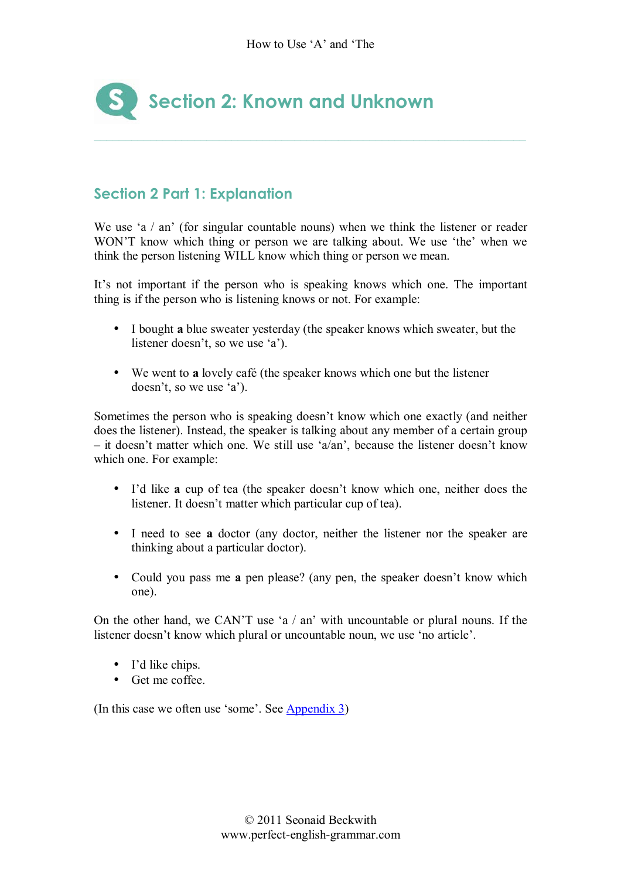

# **Section 2 Part 1: Explanation**

We use 'a  $/$  an' (for singular countable nouns) when we think the listener or reader WON<sup>T</sup> know which thing or person we are talking about. We use 'the' when we think the person listening WILL know which thing or person we mean.

It's not important if the person who is speaking knows which one. The important thing is if the person who is listening knows or not. For example:

- I bought **a** blue sweater yesterday (the speaker knows which sweater, but the listener doesn't, so we use  $a$ ).
- We went to **a** lovely café (the speaker knows which one but the listener  $doesn't, so we use 'a').$

Sometimes the person who is speaking doesn't know which one exactly (and neither does the listener). Instead, the speaker is talking about any member of a certain group  $\overline{\phantom{a}}$  it doesn't matter which one. We still use 'a/an', because the listener doesn't know which one. For example:

- I'd like **a** cup of tea (the speaker doesn't know which one, neither does the listener. It doesn't matter which particular cup of tea).
- I need to see **a** doctor (any doctor, neither the listener nor the speaker are thinking about a particular doctor).
- Could you pass me **a** pen please? (any pen, the speaker doesn't know which one).

On the other hand, we CAN'T use 'a  $/$  an' with uncountable or plural nouns. If the listener doesn't know which plural or uncountable noun, we use 'no article'.

- I'd like chips.
- Get me coffee.

(In this case we often use 'some'. See  $\Delta$ ppendix 3)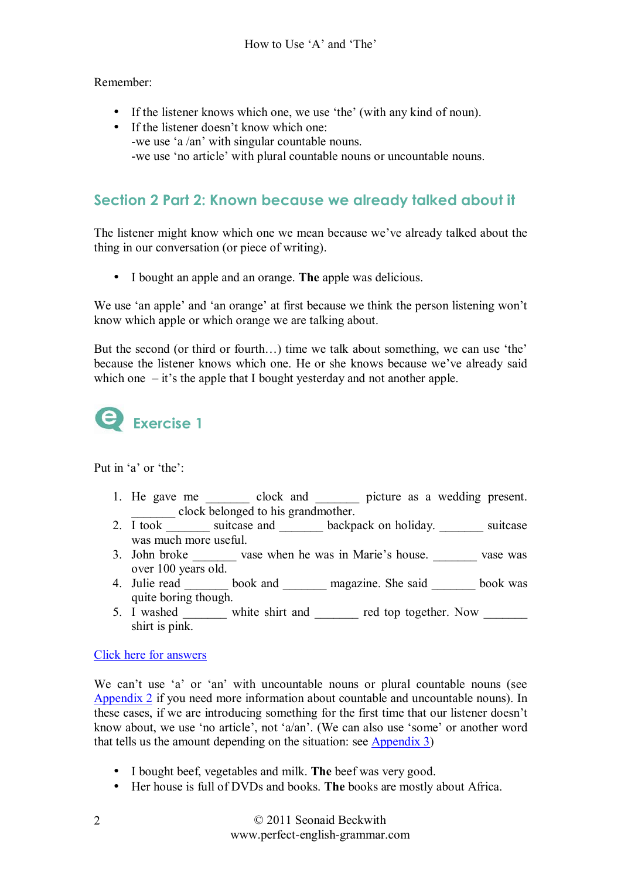Remember:

- If the listener knows which one, we use 'the' (with any kind of noun).
- If the listener doesn't know which one: -we use 'a /an' with singular countable nouns. -we use 'no article' with plural countable nouns or uncountable nouns.

# **Section 2 Part 2: Known because we already talked about it**

The listener might know which one we mean because we've already talked about the thing in our conversation (or piece of writing).

• I bought an apple and an orange. **The** apple was delicious.

We use 'an apple' and 'an orange' at first because we think the person listening won't know which apple or which orange we are talking about.

But the second (or third or fourth $\ldots$ ) time we talk about something, we can use 'the' because the listener knows which one. He or she knows because we've already said which one  $-$  it's the apple that I bought yesterday and not another apple.



Put in 'a' or 'the':

- 1. He gave me  $\qquad \qquad \text{clock} \qquad \text{mod} \qquad \text{picture} \qquad \text{as} \qquad \text{wedding present}.$ \_\_\_\_\_\_\_ clock belonged to his grandmother.
- 2. I took suitcase and backpack on holiday. Suitcase was much more useful.
- 3. John broke \_\_\_\_\_\_\_\_ vase when he was in Marie's house. \_\_\_\_\_\_\_\_ vase was over 100 years old.
- 4. Julie read book and magazine. She said book was quite boring though.
- 5. I washed white shirt and equal top together. Now shirt is pink.

Click here for answers

We can't use 'a' or 'an' with uncountable nouns or plural countable nouns (see Appendix 2 if you need more information about countable and uncountable nouns). In these cases, if we are introducing something for the first time that our listener doesn't know about, we use 'no article', not 'a/an'. (We can also use 'some' or another word that tells us the amount depending on the situation: see Appendix 3)

- I bought beef, vegetables and milk. **The** beef was very good.
- Her house is full of DVDs and books. **The** books are mostly about Africa.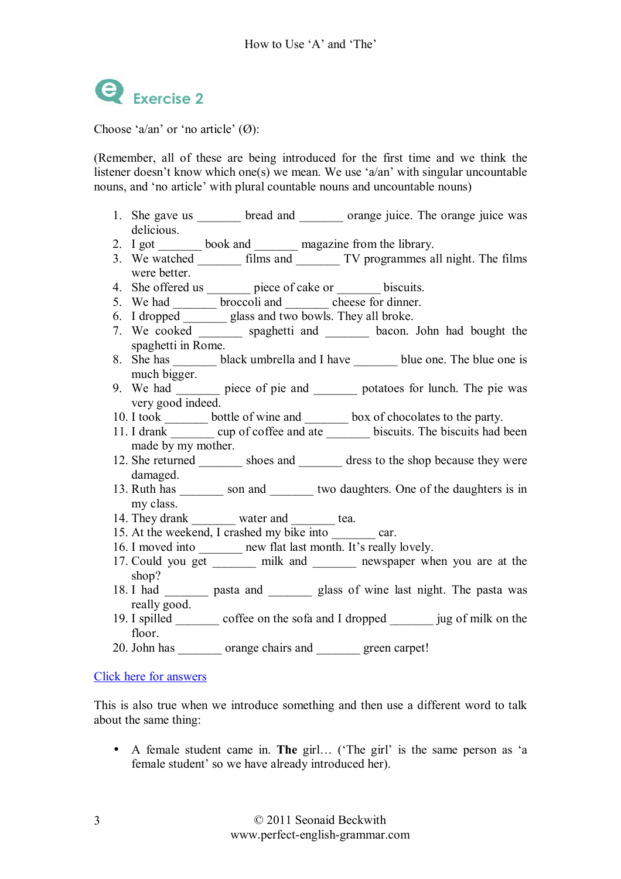

Choose 'a/an' or 'no article'  $(\emptyset)$ :

(Remember, all of these are being introduced for the first time and we think the listener doesn't know which one(s) we mean. We use 'a/an' with singular uncountable nouns, and 'no article' with plural countable nouns and uncountable nouns)

- 1. She gave us bread and orange juice. The orange juice was delicious.
- 2. I got book and magazine from the library.
- 3. We watched  $\overline{\text{films and}}$   $\overline{\text{TV}}$  programmes all night. The films were better.
- 4. She offered us \_\_\_\_\_\_\_ piece of cake or \_\_\_\_\_\_\_ biscuits.
- 5. We had \_\_\_\_\_\_\_\_ broccoli and cheese for dinner.
- 6. I dropped \_\_\_\_\_\_\_\_\_ glass and two bowls. They all broke.
- 7. We cooked spaghetti and  $\frac{1}{\sqrt{2\pi}}$  bacon. John had bought the spaghetti in Rome.
- 8. She has black umbrella and I have blue one. The blue one is much bigger.
- 9. We had piece of pie and potatoes for lunch. The pie was very good indeed.
- 10. I took \_\_\_\_\_\_\_\_ bottle of wine and \_\_\_\_\_\_\_\_ box of chocolates to the party.
- 11. I drank cup of coffee and ate biscuits. The biscuits had been made by my mother.
- 12. She returned shoes and dress to the shop because they were damaged.
- 13. Ruth has son and two daughters. One of the daughters is in my class.
- 14. They drank water and tea.
- 15. At the weekend, I crashed my bike into car.
- 16. I moved into \_\_\_\_\_\_\_ new flat last month. It's really lovely.
- 17. Could you get all milk and all newspaper when you are at the shop?
- 18. I had \_\_\_\_\_\_\_\_ pasta and \_\_\_\_\_\_\_\_ glass of wine last night. The pasta was really good.
- 19. I spilled \_\_\_\_\_\_\_ coffee on the sofa and I dropped \_\_\_\_\_\_\_ jug of milk on the floor.
- 20. John has crange chairs and green carpet!

#### Click here for answers

This is also true when we introduce something and then use a different word to talk about the same thing:

• A female student came in. **The** girl... ('The girl' is the same person as 'a female student' so we have already introduced her).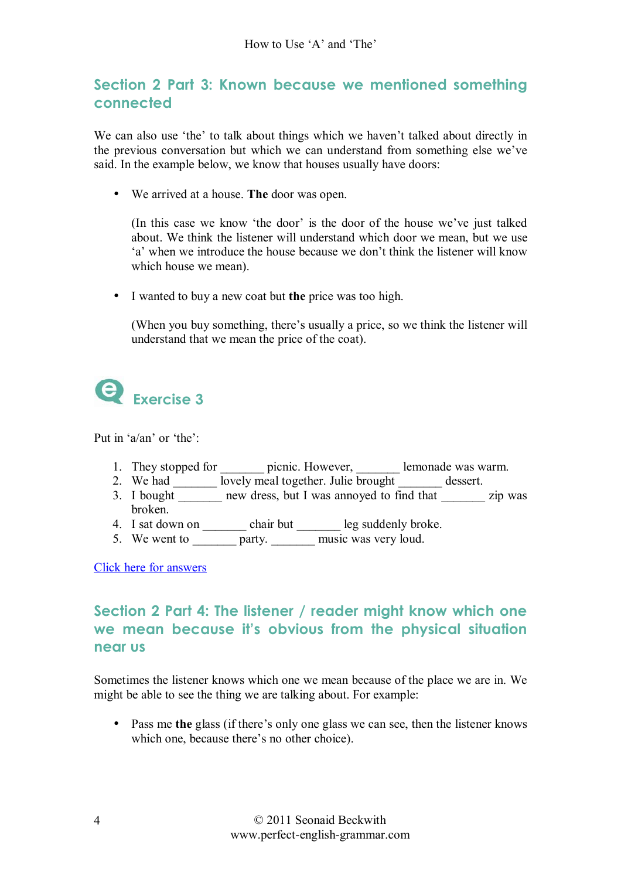# **Section 2 Part 3: Known because we mentioned something connected**

We can also use 'the' to talk about things which we haven't talked about directly in the previous conversation but which we can understand from something else we've said. In the example below, we know that houses usually have doors:

• We arrived at a house. **The** door was open.

(In this case we know 'the door' is the door of the house we've just talked about. We think the listener will understand which door we mean, but we use ëaí when we introduce the house because we donít think the listener will know which house we mean).

• I wanted to buy a new coat but **the** price was too high.

(When you buy something, there's usually a price, so we think the listener will understand that we mean the price of the coat).



Put in ' $a$ /an' or 'the':

- 1. They stopped for \_\_\_\_\_\_\_\_ picnic. However, \_\_\_\_\_\_\_\_ lemonade was warm.
- 2. We had  $\frac{1}{\sqrt{2\pi}} \frac{1}{\sqrt{2\pi}}$  lovely meal together. Julie brought  $\frac{1}{\sqrt{2\pi}} \frac{1}{\sqrt{2\pi}}$  dessert.
- 3. I bought  $\overline{\phantom{a}}$  new dress, but I was annoyed to find that  $\overline{\phantom{a}}$  zip was broken.
- 4. I sat down on \_\_\_\_\_\_\_\_\_ chair but \_\_\_\_\_\_\_\_ leg suddenly broke.
- 5. We went to  $\frac{1}{\sqrt{2\pi}}$  party. Thus was very loud.

Click here for answers

# **Section 2 Part 4: The listener / reader might know which one we mean because itís obvious from the physical situation near us**

Sometimes the listener knows which one we mean because of the place we are in. We might be able to see the thing we are talking about. For example:

• Pass me the glass (if there's only one glass we can see, then the listener knows which one, because there's no other choice).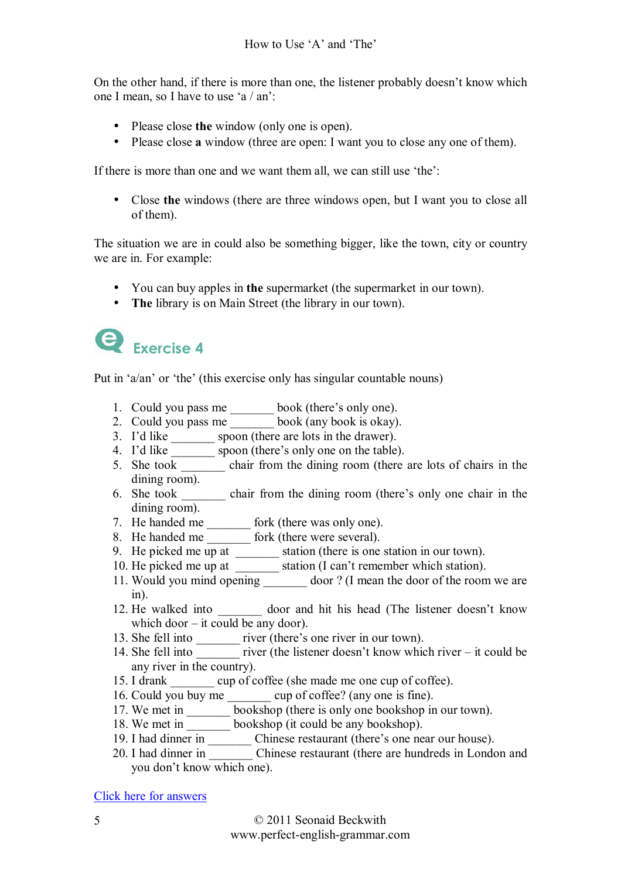On the other hand, if there is more than one, the listener probably doesn't know which one I mean, so I have to use 'a / an':

- Please close **the** window (only one is open).
- Please close **a** window (three are open: I want you to close any one of them).

If there is more than one and we want them all, we can still use 'the':

• Close **the** windows (there are three windows open, but I want you to close all of them).

The situation we are in could also be something bigger, like the town, city or country we are in. For example:

- You can buy apples in **the** supermarket (the supermarket in our town).
- **The** library is on Main Street (the library in our town).



Put in 'a/an' or 'the' (this exercise only has singular countable nouns)

- 1. Could you pass me book (there's only one).
- 2. Could you pass me book (any book is okay).
- 3. I'd like  $\overline{\hspace{1cm}}$  spoon (there are lots in the drawer).
- 4. I'd like spoon (there's only one on the table).
- 5. She took \_\_\_\_\_\_\_ chair from the dining room (there are lots of chairs in the dining room).
- 6. She took \_\_\_\_\_\_\_\_ chair from the dining room (there's only one chair in the dining room).
- 7. He handed me fork (there was only one).
- 8. He handed me \_\_\_\_\_\_\_\_ fork (there were several).
- 9. He picked me  $\overline{up}$  at  $\overline{\qquad}$  station (there is one station in our town).
- 10. He picked me up at \_\_\_\_\_\_\_\_\_ station (I can't remember which station).
- 11. Would you mind opening door? (I mean the door of the room we are in).
- 12. He walked into door and hit his head (The listener doesn't know which door  $-$  it could be any door).
- 13. She fell into \_\_\_\_\_\_\_\_ river (there's one river in our town).
- 14. She fell into  $\frac{1}{2}$  river (the listener doesn't know which river it could be any river in the country).
- 15. I drank cup of coffee (she made me one cup of coffee).
- 16. Could you buy me \_\_\_\_\_\_\_\_ cup of coffee? (any one is fine).
- 17. We met in \_\_\_\_\_\_\_\_ bookshop (there is only one bookshop in our town).
- 18. We met in \_\_\_\_\_\_\_\_ bookshop (it could be any bookshop).
- 19. I had dinner in \_\_\_\_\_\_\_\_ Chinese restaurant (there's one near our house).
- 20. I had dinner in Chinese restaurant (there are hundreds in London and you don't know which one).

Click here for answers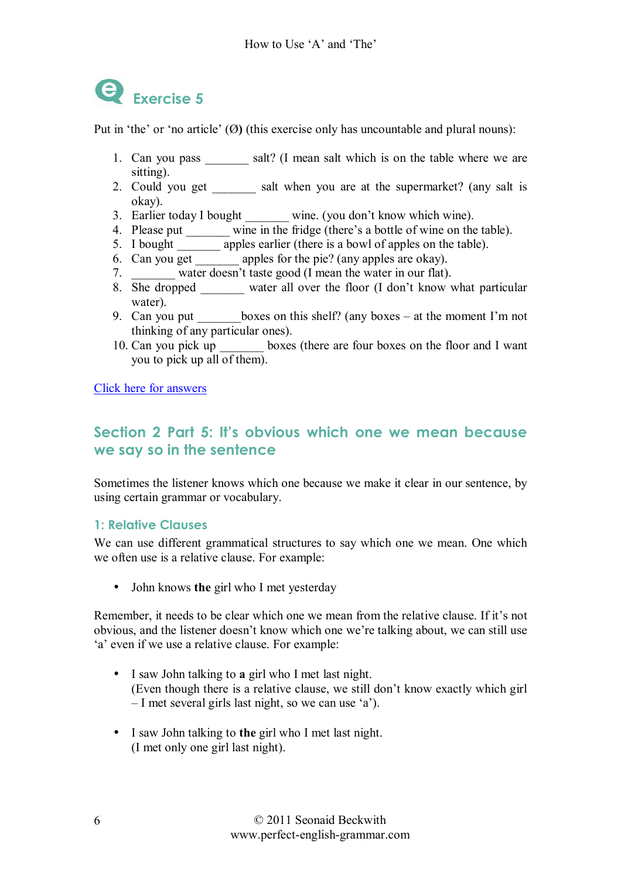

Put in 'the' or 'no article'  $(\emptyset)$  (this exercise only has uncountable and plural nouns):

- 1. Can you pass salt? (I mean salt which is on the table where we are sitting).
- 2. Could you get \_\_\_\_\_\_\_ salt when you are at the supermarket? (any salt is okay).
- 3. Earlier today I bought \_\_\_\_\_\_\_ wine. (you don't know which wine).
- 4. Please put  $\frac{1}{\sqrt{1-\frac{1}{n}}}\sin \frac{n\pi}{n}$  wine in the fridge (there's a bottle of wine on the table).
- 5. I bought \_\_\_\_\_\_\_\_ apples earlier (there is a bowl of apples on the table).
- 6. Can you get \_\_\_\_\_\_\_ apples for the pie? (any apples are okay).
- 7. water doesn't taste good (I mean the water in our flat).
- 8. She dropped water all over the floor (I don't know what particular water).
- 9. Can you put boxes on this shelf? (any boxes  $-$  at the moment I'm not thinking of any particular ones).
- 10. Can you pick up boxes (there are four boxes on the floor and I want you to pick up all of them).

Click here for answers

# **Section 2 Part 5: Itís obvious which one we mean because we say so in the sentence**

Sometimes the listener knows which one because we make it clear in our sentence, by using certain grammar or vocabulary.

#### **1: Relative Clauses**

We can use different grammatical structures to say which one we mean. One which we often use is a relative clause. For example:

• John knows **the** girl who I met yesterday

Remember, it needs to be clear which one we mean from the relative clause. If it's not obvious, and the listener doesn't know which one we're talking about, we can still use 'a' even if we use a relative clause. For example:

- I saw John talking to **a** girl who I met last night. (Even though there is a relative clause, we still don't know exactly which girl  $-I$  met several girls last night, so we can use 'a').
- I saw John talking to **the** girl who I met last night. (I met only one girl last night).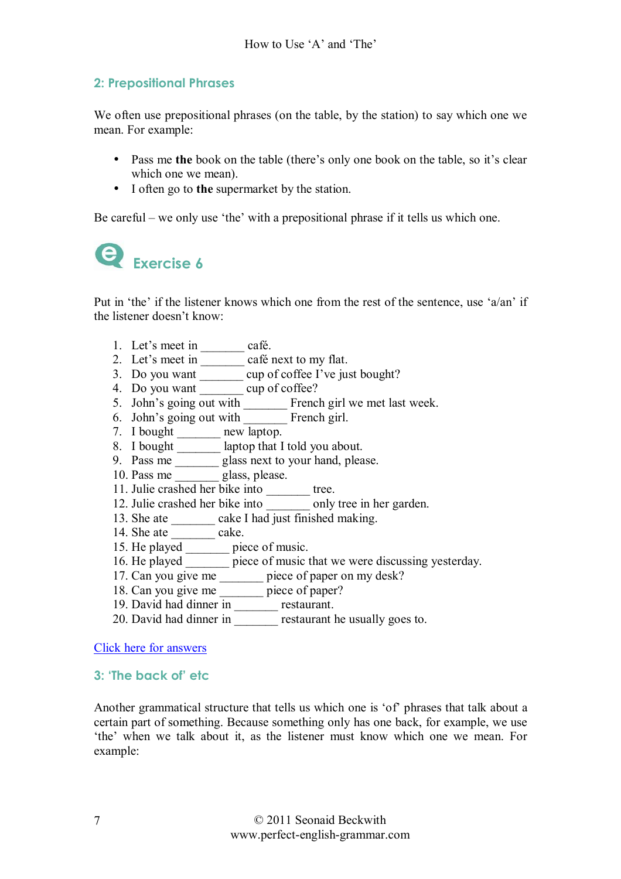#### **2: Prepositional Phrases**

We often use prepositional phrases (on the table, by the station) to say which one we mean. For example:

- Pass me the book on the table (there's only one book on the table, so it's clear which one we mean).
- I often go to **the** supermarket by the station.

Be careful – we only use 'the' with a prepositional phrase if it tells us which one.



Put in 'the' if the listener knows which one from the rest of the sentence, use ' $a$ /an' if the listener doesn't know:

- 1. Let's meet in \_\_\_\_\_\_\_\_ café.
- 2. Let's meet in \_\_\_\_\_\_\_ café next to my flat.
- 3. Do you want cup of coffee I've just bought?
- 4. Do you want \_\_\_\_\_\_\_\_ cup of coffee?
- 5. John's going out with French girl we met last week.
- 6. John's going out with French girl.
- 7. I bought \_\_\_\_\_\_\_ new laptop.
- 8. I bought \_\_\_\_\_\_\_ laptop that I told you about.
- 9. Pass me \_\_\_\_\_\_\_ glass next to your hand, please.
- 10. Pass me \_\_\_\_\_\_\_ glass, please.
- 11. Julie crashed her bike into tree.
- 12. Julie crashed her bike into only tree in her garden.
- 13. She ate  $\_\_\_\_\_\_\_\_\_\_\_\_\_\.\$  cake I had just finished making.
- 14. She ate  $\frac{1}{\sqrt{1-\frac{1}{\sqrt{1-\frac{1}{\sqrt{1-\frac{1}{\sqrt{1-\frac{1}{\sqrt{1-\frac{1}{\sqrt{1-\frac{1}{\sqrt{1-\frac{1}{\sqrt{1-\frac{1}{\sqrt{1-\frac{1}{\sqrt{1-\frac{1}{\sqrt{1-\frac{1}{\sqrt{1-\frac{1}{\sqrt{1-\frac{1}{\sqrt{1-\frac{1}{\sqrt{1-\frac{1}{\sqrt{1-\frac{1}{\sqrt{1-\frac{1}{\sqrt{1-\frac{1}{\sqrt{1-\frac{1}{\sqrt{1-\frac{1}{\sqrt{1-\frac{1}{\sqrt{1-\frac{1}{\sqrt{1-\$
- 15. He played \_\_\_\_\_\_\_ piece of music.
- 16. He played <u>seems</u> piece of music that we were discussing yesterday.
- 17. Can you give me \_\_\_\_\_\_\_\_ piece of paper on my desk?
- 18. Can you give me \_\_\_\_\_\_\_ piece of paper?
- 19. David had dinner in \_\_\_\_\_\_\_\_\_ restaurant.
- 20. David had dinner in restaurant he usually goes to.

Click here for answers

#### **3: ëThe back ofí etc**

Another grammatical structure that tells us which one is 'of' phrases that talk about a certain part of something. Because something only has one back, for example, we use the' when we talk about it, as the listener must know which one we mean. For example: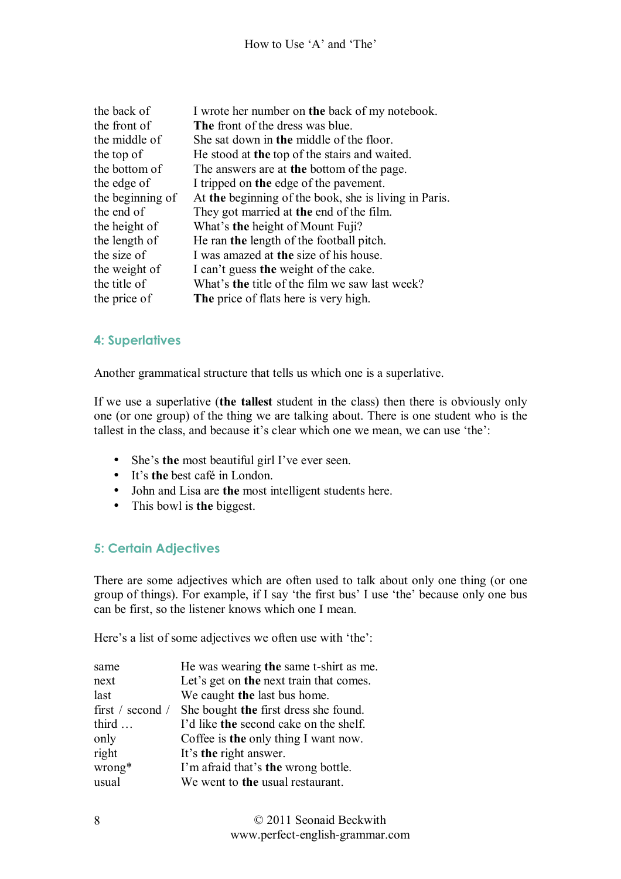| the back of      | I wrote her number on the back of my notebook.        |
|------------------|-------------------------------------------------------|
| the front of     | The front of the dress was blue.                      |
| the middle of    | She sat down in the middle of the floor.              |
| the top of       | He stood at the top of the stairs and waited.         |
| the bottom of    | The answers are at the bottom of the page.            |
| the edge of      | I tripped on the edge of the pavement.                |
| the beginning of | At the beginning of the book, she is living in Paris. |
| the end of       | They got married at the end of the film.              |
| the height of    | What's the height of Mount Fuji?                      |
| the length of    | He ran the length of the football pitch.              |
| the size of      | I was amazed at the size of his house.                |
| the weight of    | I can't guess the weight of the cake.                 |
| the title of     | What's <b>the</b> title of the film we saw last week? |
| the price of     | The price of flats here is very high.                 |

#### **4: Superlatives**

Another grammatical structure that tells us which one is a superlative.

If we use a superlative (**the tallest** student in the class) then there is obviously only one (or one group) of the thing we are talking about. There is one student who is the tallest in the class, and because it's clear which one we mean, we can use 'the':

- She's the most beautiful girl I've ever seen.
- It's the best café in London.
- John and Lisa are **the** most intelligent students here.
- This bowl is **the** biggest.

#### **5: Certain Adjectives**

There are some adjectives which are often used to talk about only one thing (or one group of things). For example, if I say 'the first bus' I use 'the' because only one bus can be first, so the listener knows which one I mean.

Here's a list of some adjectives we often use with 'the':

| same             | He was wearing the same t-shirt as me.  |
|------------------|-----------------------------------------|
| next             | Let's get on the next train that comes. |
| last             | We caught the last bus home.            |
| first / second / | She bought the first dress she found.   |
| third            | I'd like the second cake on the shelf.  |
| only             | Coffee is the only thing I want now.    |
| right            | It's the right answer.                  |
| wrong*           | I'm afraid that's the wrong bottle.     |
| usual            | We went to the usual restaurant.        |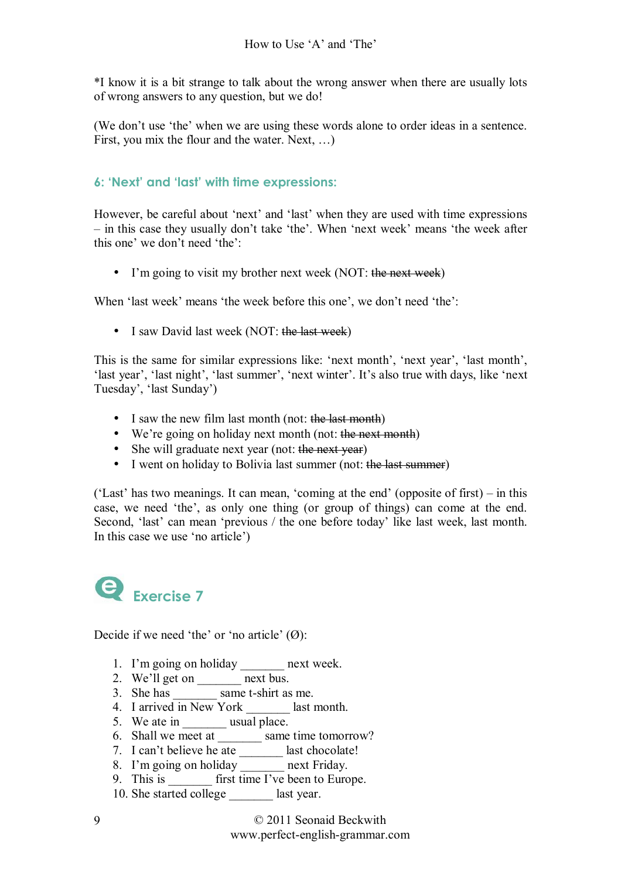\*I know it is a bit strange to talk about the wrong answer when there are usually lots of wrong answers to any question, but we do!

(We don't use 'the' when we are using these words alone to order ideas in a sentence. First, you mix the flour and the water. Next,  $\dots$ )

#### **6: ëNextí and ëlastí with time expressions:**

However, be careful about 'next' and 'last' when they are used with time expressions  $\overline{\phantom{a}}$  in this case they usually don't take 'the'. When 'next week' means 'the week after this one' we don't need 'the':

• I'm going to visit my brother next week (NOT: the next week)

When 'last week' means 'the week before this one', we don't need 'the':

• I saw David last week (NOT: the last week)

This is the same for similar expressions like: 'next month', 'next year', 'last month', 'last year', 'last night', 'last summer', 'next winter'. It's also true with days, like 'next Tuesday', 'last Sunday')

- I saw the new film last month (not: the last month)
- We're going on holiday next month (not: the next month)
- She will graduate next year (not: the next year)
- I went on holiday to Bolivia last summer (not: the last summer)

('Last' has two meanings. It can mean, 'coming at the end' (opposite of first) – in this case, we need 'the', as only one thing (or group of things) can come at the end. Second, 'last' can mean 'previous / the one before today' like last week, last month. In this case we use 'no article')



Decide if we need 'the' or 'no article'  $(\emptyset)$ :

- 1. I'm going on holiday *next week.*
- 2. We'll get on *next bus.*
- 3. She has *same t-shirt as me.*
- 4. I arrived in New York *\_\_\_\_\_\_\_* last month.
- 5. We ate in \_\_\_\_\_\_\_\_ usual place.
- 6. Shall we meet at *\_\_\_\_\_\_\_* same time tomorrow?
- 7. I canít believe he ate *\_\_\_\_\_\_\_* last chocolate!
- 8. Iím going on holiday *\_\_\_\_\_\_\_* next Friday.
- 9. This is **first time I've been to Europe.**
- 10. She started college *\_\_\_\_\_\_\_* last year.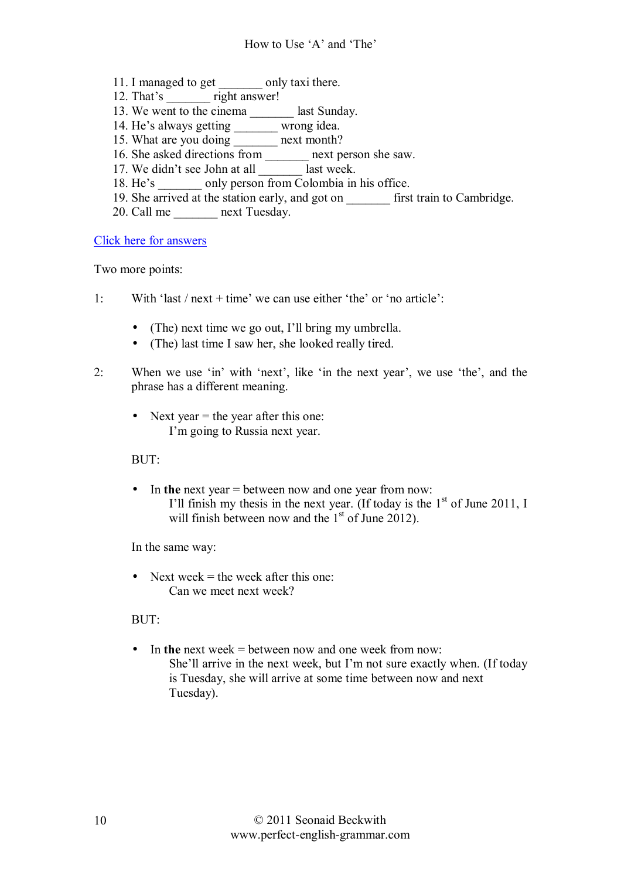- 11. I managed to get *\_\_\_\_\_\_\_* only taxi there.
- 12. That's right answer!
- 13. We went to the cinema *\_\_\_\_\_\_\_* last Sunday.
- 14. He's always getting <u>wrong</u> idea.
- 15. What are you doing *\_\_\_\_\_\_\_* next month?
- 16. She asked directions from *next person she saw.*
- 17. We didn't see John at all last week.
- 18. He's only person from Colombia in his office.
- 19. She arrived at the station early, and got on *example first train to Cambridge.*
- 20. Call me *next Tuesday.*

Click here for answers

Two more points:

- 1: With 'last / next + time' we can use either 'the' or 'no article':
	- (The) next time we go out, I'll bring my umbrella.
	- (The) last time I saw her, she looked really tired.
- 2: When we use  $\sin$  with 'next', like  $\sin$  the next year', we use 'the', and the phrase has a different meaning.
	- Next year  $=$  the year after this one: I'm going to Russia next year.

#### BUT:

• In **the** next year = between now and one year from now: I'll finish my thesis in the next year. (If today is the  $1<sup>st</sup>$  of June 2011, I will finish between now and the  $1<sup>st</sup>$  of June 2012).

In the same way:

• Next week  $=$  the week after this one: Can we meet next week?

#### $BUT$

• In **the** next week = between now and one week from now: She'll arrive in the next week, but I'm not sure exactly when. (If today is Tuesday, she will arrive at some time between now and next Tuesday).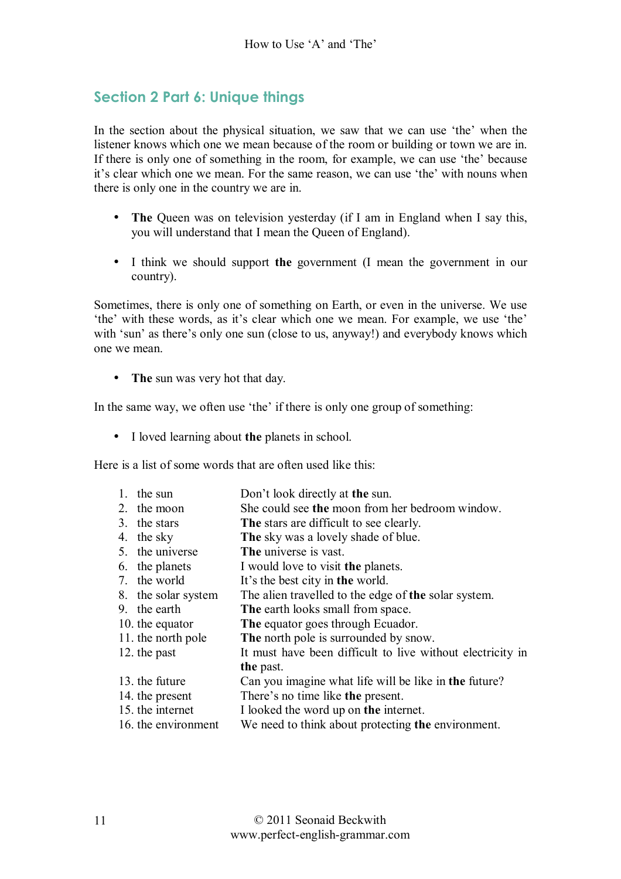# **Section 2 Part 6: Unique things**

In the section about the physical situation, we saw that we can use 'the' when the listener knows which one we mean because of the room or building or town we are in. If there is only one of something in the room, for example, we can use 'the' because it's clear which one we mean. For the same reason, we can use 'the' with nouns when there is only one in the country we are in.

- **The Queen was on television yesterday (if I am in England when I say this,** you will understand that I mean the Queen of England).
- I think we should support **the** government (I mean the government in our country).

Sometimes, there is only one of something on Earth, or even in the universe. We use 'the' with these words, as it's clear which one we mean. For example, we use 'the' with 'sun' as there's only one sun (close to us, anyway!) and everybody knows which one we mean.

• **The** sun was very hot that day.

In the same way, we often use 'the' if there is only one group of something:

• I loved learning about **the** planets in school.

Here is a list of some words that are often used like this:

- 1. the sun Don't look directly at **the** sun.
- 2. the moon She could see **the** moon from her bedroom window.
- 3. the stars **The** stars are difficult to see clearly.
- 4. the sky **The** sky was a lovely shade of blue.
- 5. the universe **The** universe is vast.
- 6. the planets I would love to visit **the** planets.
- 7. the world Itís the best city in **the** world.
- 8. the solar system The alien travelled to the edge of **the** solar system.
- 9. the earth **The** earth looks small from space.
- 10. the equator **The** equator goes through Ecuador.
- 11. the north pole **The** north pole is surrounded by snow.
- 12. the past It must have been difficult to live without electricity in **the** past.
- 13. the future Can you imagine what life will be like in **the** future?
- 14. the present Thereís no time like **the** present.
- 15. the internet I looked the word up on **the** internet.
- 16. the environment We need to think about protecting **the** environment.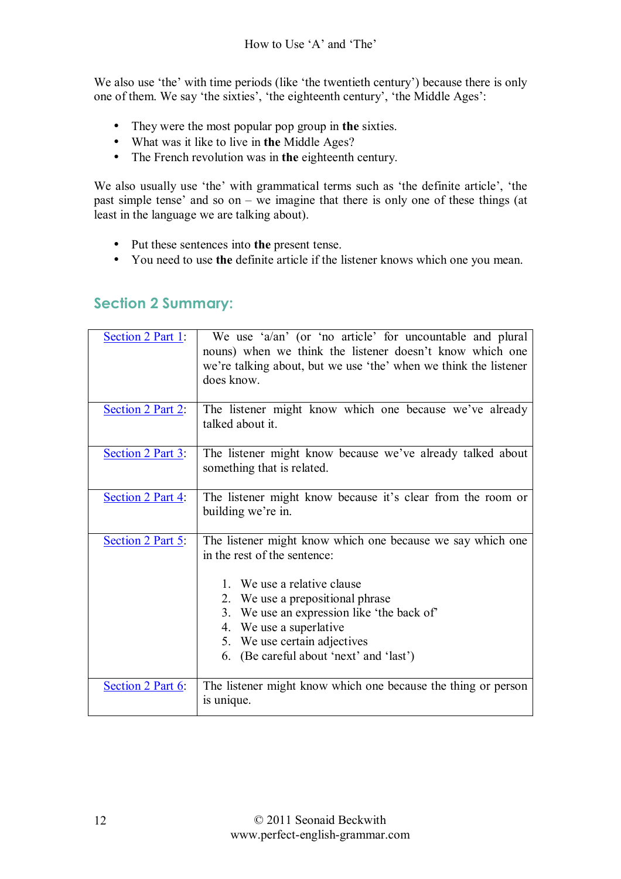We also use 'the' with time periods (like 'the twentieth century') because there is only one of them. We say 'the sixties', 'the eighteenth century', 'the Middle Ages':

- They were the most popular pop group in **the** sixties.
- What was it like to live in **the** Middle Ages?
- The French revolution was in **the** eighteenth century.

We also usually use 'the' with grammatical terms such as 'the definite article', 'the past simple tense' and so on  $-$  we imagine that there is only one of these things (at least in the language we are talking about).

- Put these sentences into **the** present tense.
- You need to use **the** definite article if the listener knows which one you mean.

### **Section 2 Summary:**

| Section 2 Part 1: | We use 'a/an' (or 'no article' for uncountable and plural<br>nouns) when we think the listener doesn't know which one<br>we're talking about, but we use 'the' when we think the listener<br>does know.                                                                                                           |
|-------------------|-------------------------------------------------------------------------------------------------------------------------------------------------------------------------------------------------------------------------------------------------------------------------------------------------------------------|
| Section 2 Part 2: | The listener might know which one because we've already<br>talked about it.                                                                                                                                                                                                                                       |
| Section 2 Part 3: | The listener might know because we've already talked about<br>something that is related.                                                                                                                                                                                                                          |
| Section 2 Part 4: | The listener might know because it's clear from the room or<br>building we're in.                                                                                                                                                                                                                                 |
| Section 2 Part 5: | The listener might know which one because we say which one<br>in the rest of the sentence:<br>1. We use a relative clause<br>2. We use a prepositional phrase<br>3. We use an expression like 'the back of'<br>4. We use a superlative<br>5. We use certain adjectives<br>6. (Be careful about 'next' and 'last') |
| Section 2 Part 6: | The listener might know which one because the thing or person<br>is unique.                                                                                                                                                                                                                                       |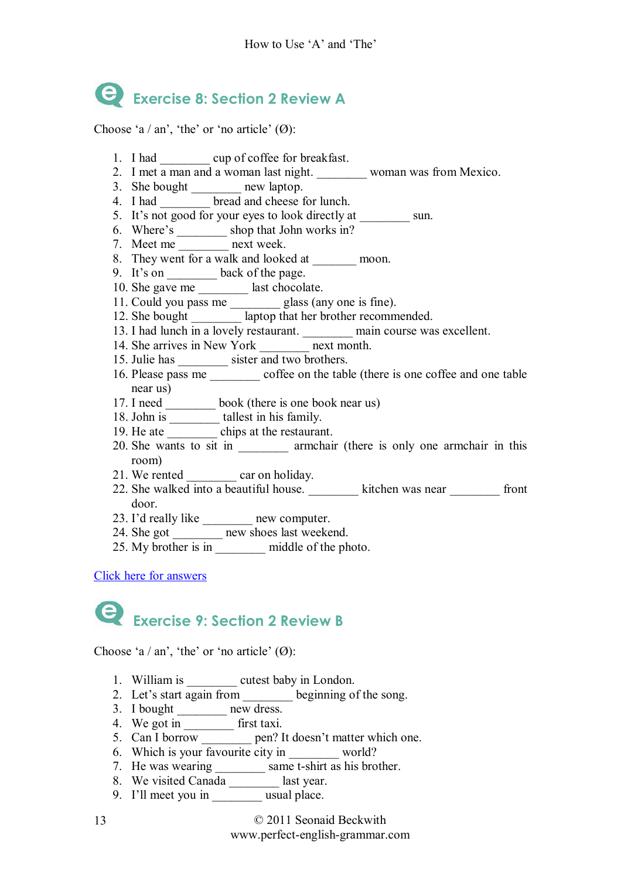# **Exercise 8: Section 2 Review A**

Choose 'a / an', 'the' or 'no article'  $(\emptyset)$ :

- 1. I had \_\_\_\_\_\_\_\_ cup of coffee for breakfast.
- 2. I met a man and a woman last night. woman was from Mexico.
- 3. She bought \_\_\_\_\_\_\_\_ new laptop.
- 4. I had <u>beese</u> for lunch.
- 5. It's not good for your eyes to look directly at sun.
- 6. Where's  $\frac{1}{\sqrt{2\pi}}$  shop that John works in?
- 7. Meet me mext week.
- 8. They went for a walk and looked at \_\_\_\_\_\_\_\_ moon.
- 9. It's on \_\_\_\_\_\_\_\_\_ back of the page.
- 10. She gave me \_\_\_\_\_\_\_\_\_ last chocolate.
- 11. Could you pass me \_\_\_\_\_\_\_\_\_ glass (any one is fine).
- 12. She bought **and all algebra** laptop that her brother recommended.
- 13. I had lunch in a lovely restaurant. \_\_\_\_\_\_\_\_ main course was excellent.
- 14. She arrives in New York next month.
- 15. Julie has sister and two brothers.
- 16. Please pass me \_\_\_\_\_\_\_\_ coffee on the table (there is one coffee and one table near us)
- 17. I need \_\_\_\_\_\_\_\_ book (there is one book near us)
- 18. John is \_\_\_\_\_\_\_\_\_\_ tallest in his family.
- 19. He ate chips at the restaurant.
- 20. She wants to sit in \_\_\_\_\_\_\_\_ armchair (there is only one armchair in this room)
- 21. We rented car on holiday.
- 22. She walked into a beautiful house.  $\overline{\phantom{a}}$  kitchen was near  $\overline{\phantom{a}}$  front door.
- 23. I'd really like new computer.
- 24. She got \_\_\_\_\_\_\_\_\_ new shoes last weekend.
- 25. My brother is in middle of the photo.

#### Click here for answers

# **Exercise 9: Section 2 Review B**

Choose 'a / an', 'the' or 'no article'  $(\emptyset)$ :

- 1. William is \_\_\_\_\_\_\_\_\_ cutest baby in London.
- 2. Let's start again from beginning of the song.
- 3. I bought \_\_\_\_\_\_\_\_ new dress.
- 4. We got in \_\_\_\_\_\_\_\_ first taxi.
- 5. Can I borrow \_\_\_\_\_\_\_\_ pen? It doesn't matter which one.
- 6. Which is your favourite city in world?
- 7. He was wearing same t-shirt as his brother.
- 8. We visited Canada \_\_\_\_\_\_\_\_ last year.
- 9. I'll meet you in usual place.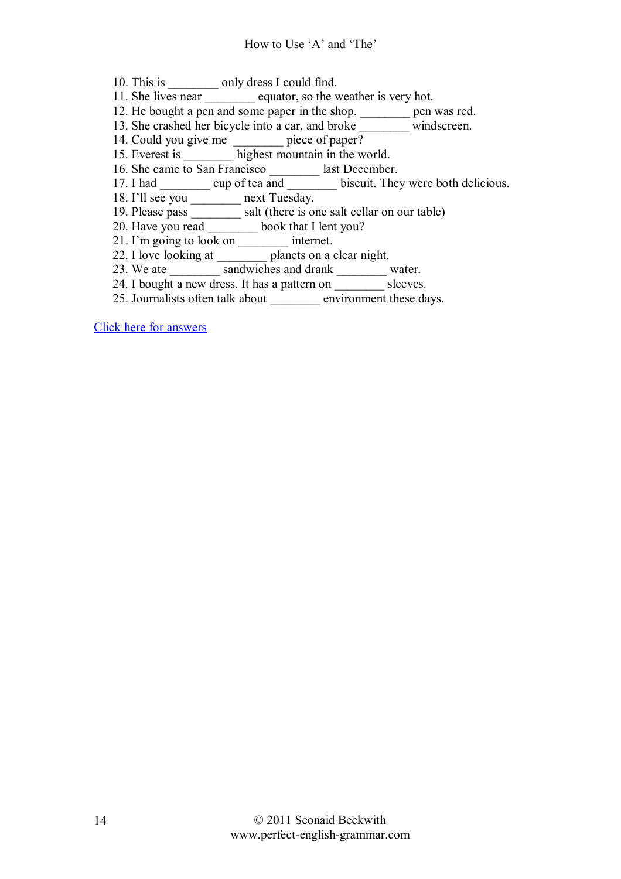- 10. This is only dress I could find.
- 11. She lives near equator, so the weather is very hot.
- 12. He bought a pen and some paper in the shop. \_\_\_\_\_\_\_\_\_ pen was red.
- 13. She crashed her bicycle into a car, and broke \_\_\_\_\_\_\_\_ windscreen.
- 14. Could you give me \_\_\_\_\_\_\_\_\_ piece of paper?
- 15. Everest is \_\_\_\_\_\_\_\_ highest mountain in the world.
- 16. She came to San Francisco last December.
- 17. I had \_\_\_\_\_\_\_\_ cup of tea and \_\_\_\_\_\_\_\_\_ biscuit. They were both delicious.
- 18. I'll see you \_\_\_\_\_\_\_\_ next Tuesday.
- 19. Please pass \_\_\_\_\_\_\_\_ salt (there is one salt cellar on our table)
- 20. Have you read \_\_\_\_\_\_\_\_ book that I lent you?
- 21. I'm going to look on \_\_\_\_\_\_\_\_\_\_ internet.
- 22. I love looking at planets on a clear night.
- 23. We ate **sandwiches and drank** water.
- 24. I bought a new dress. It has a pattern on  $\overline{\qquad \qquad }$  sleeves.
- 25. Journalists often talk about environment these days.

Click here for answers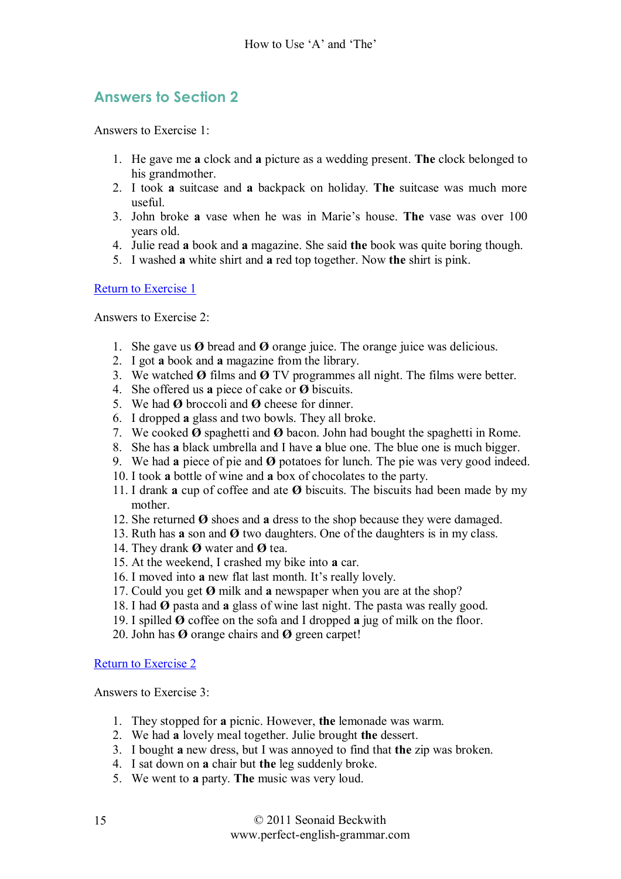# **Answers to Section 2**

Answers to Exercise 1:

- 1. He gave me **a** clock and **a** picture as a wedding present. **The** clock belonged to his grandmother.
- 2. I took **a** suitcase and **a** backpack on holiday. **The** suitcase was much more useful.
- 3. John broke **a** vase when he was in Marieís house. **The** vase was over 100 years old.
- 4. Julie read **a** book and **a** magazine. She said **the** book was quite boring though.
- 5. I washed **a** white shirt and **a** red top together. Now **the** shirt is pink.

Return to Exercise 1

Answers to Exercise 2:

- 1. She gave us  $\emptyset$  bread and  $\emptyset$  orange juice. The orange juice was delicious.
- 2. I got **a** book and **a** magazine from the library.
- 3. We watched **ÿ** films and **ÿ** TV programmes all night. The films were better.
- 4. She offered us **a** piece of cake or **Ø** biscuits.
- 5. We had **ÿ** broccoli and **ÿ** cheese for dinner.
- 6. I dropped **a** glass and two bowls. They all broke.
- 7. We cooked **ÿ** spaghetti and **ÿ** bacon. John had bought the spaghetti in Rome.
- 8. She has **a** black umbrella and I have **a** blue one. The blue one is much bigger.
- 9. We had **a** piece of pie and **ÿ** potatoes for lunch. The pie was very good indeed.
- 10. I took **a** bottle of wine and **a** box of chocolates to the party.
- 11. I drank **a** cup of coffee and ate **ÿ** biscuits. The biscuits had been made by my mother.
- 12. She returned  $\boldsymbol{\Theta}$  shoes and **a** dress to the shop because they were damaged.
- 13. Ruth has **a** son and **ÿ** two daughters. One of the daughters is in my class.
- 14. They drank **ÿ** water and **ÿ** tea.
- 15. At the weekend, I crashed my bike into **a** car.
- 16. I moved into **a** new flat last month. It's really lovely.
- 17. Could you get  $\emptyset$  milk and **a** newspaper when you are at the shop?
- 18. I had **ÿ** pasta and **a** glass of wine last night. The pasta was really good.
- 19. I spilled **ÿ** coffee on the sofa and I dropped **a** jug of milk on the floor.
- 20. John has **ÿ** orange chairs and **ÿ** green carpet!

Return to Exercise 2

Answers to Exercise 3:

- 1. They stopped for **a** picnic. However, **the** lemonade was warm.
- 2. We had **a** lovely meal together. Julie brought **the** dessert.
- 3. I bought **a** new dress, but I was annoyed to find that **the** zip was broken.
- 4. I sat down on **a** chair but **the** leg suddenly broke.
- 5. We went to **a** party. **The** music was very loud.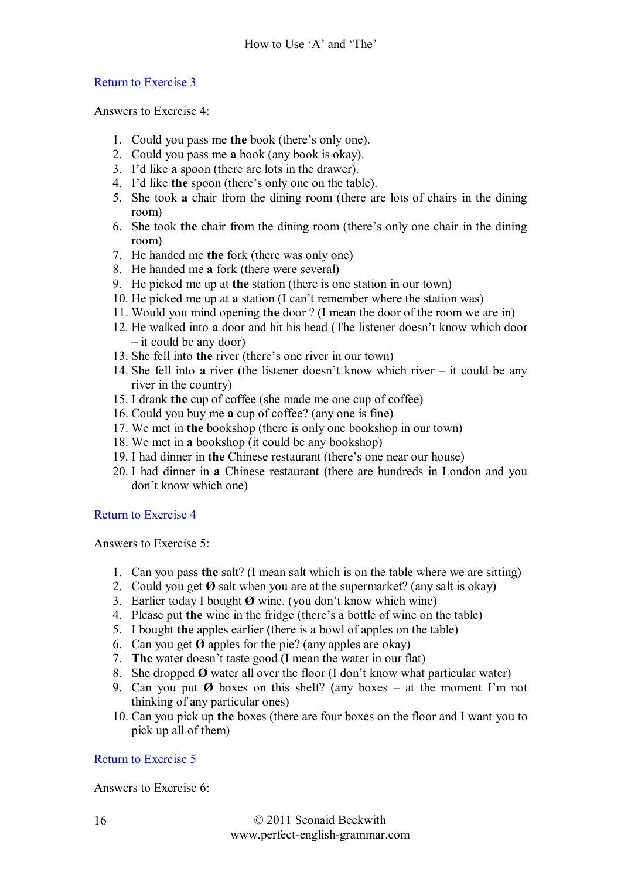Answers to Exercise 4:

- 1. Could you pass me **the** book (there's only one).
- 2. Could you pass me **a** book (any book is okay).
- 3. Iíd like **a** spoon (there are lots in the drawer).
- 4. I'd like **the** spoon (there's only one on the table).
- 5. She took **a** chair from the dining room (there are lots of chairs in the dining room)
- 6. She took **the** chair from the dining room (there's only one chair in the dining room)
- 7. He handed me **the** fork (there was only one)
- 8. He handed me **a** fork (there were several)
- 9. He picked me up at **the** station (there is one station in our town)
- 10. He picked me up at **a** station (I can't remember where the station was)
- 11. Would you mind opening **the** door ? (I mean the door of the room we are in)
- 12. He walked into **a** door and hit his head (The listener doesn't know which door  $-$  it could be any door)
- 13. She fell into **the** river (there's one river in our town)
- 14. She fell into **a** river (the listener doesn't know which river  $-$  it could be any river in the country)
- 15. I drank **the** cup of coffee (she made me one cup of coffee)
- 16. Could you buy me **a** cup of coffee? (any one is fine)
- 17. We met in **the** bookshop (there is only one bookshop in our town)
- 18. We met in **a** bookshop (it could be any bookshop)
- 19. I had dinner in **the** Chinese restaurant (there's one near our house)
- 20. I had dinner in **a** Chinese restaurant (there are hundreds in London and you don't know which one)

Return to Exercise 4

Answers to Exercise 5:

- 1. Can you pass **the** salt? (I mean salt which is on the table where we are sitting)
- 2. Could you get  $\emptyset$  salt when you are at the supermarket? (any salt is okay)
- 3. Earlier today I bought **Ø** wine. (you don't know which wine)
- 4. Please put **the** wine in the fridge (there's a bottle of wine on the table)
- 5. I bought **the** apples earlier (there is a bowl of apples on the table)
- 6. Can you get  $\emptyset$  apples for the pie? (any apples are okay)
- 7. **The** water doesnít taste good (I mean the water in our flat)
- 8. She dropped  $\boldsymbol{\Theta}$  water all over the floor (I don't know what particular water)
- 9. Can you put  $\emptyset$  boxes on this shelf? (any boxes  $-$  at the moment I'm not thinking of any particular ones)
- 10. Can you pick up **the** boxes (there are four boxes on the floor and I want you to pick up all of them)

Return to Exercise 5

Answers to Exercise 6: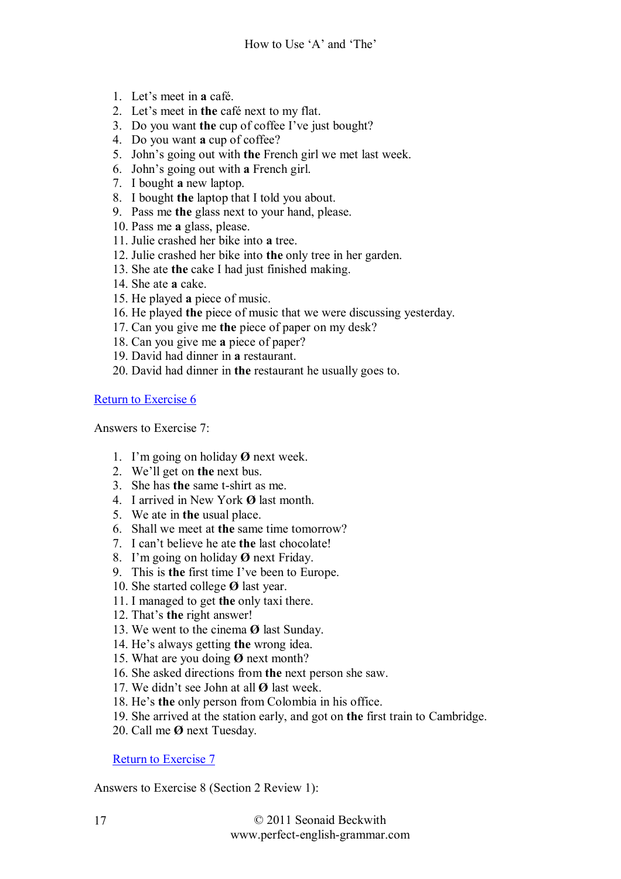- 1. Let's meet in a café.
- 2. Letís meet in **the** cafÈ next to my flat.
- 3. Do you want the cup of coffee I've just bought?
- 4. Do you want **a** cup of coffee?
- 5. Johnís going out with **the** French girl we met last week.
- 6. Johnís going out with **a** French girl.
- 7. I bought **a** new laptop.
- 8. I bought **the** laptop that I told you about.
- 9. Pass me **the** glass next to your hand, please.
- 10. Pass me **a** glass, please.
- 11. Julie crashed her bike into **a** tree.
- 12. Julie crashed her bike into **the** only tree in her garden.
- 13. She ate **the** cake I had just finished making.
- 14. She ate **a** cake.
- 15. He played **a** piece of music.
- 16. He played **the** piece of music that we were discussing yesterday.
- 17. Can you give me **the** piece of paper on my desk?
- 18. Can you give me **a** piece of paper?
- 19. David had dinner in **a** restaurant.
- 20. David had dinner in **the** restaurant he usually goes to.

Answers to Exercise 7:

- 1. Iím going on holiday **ÿ** next week.
- 2. Weíll get on **the** next bus.
- 3. She has **the** same t-shirt as me.
- 4. I arrived in New York  $\boldsymbol{\Theta}$  last month.
- 5. We ate in **the** usual place.
- 6. Shall we meet at **the** same time tomorrow?
- 7. I canít believe he ate **the** last chocolate!
- 8. Iím going on holiday **ÿ** next Friday.
- 9. This is **the** first time I've been to Europe.
- 10. She started college **Ø** last year.
- 11. I managed to get **the** only taxi there.
- 12. That's **the** right answer!
- 13. We went to the cinema **Ø** last Sunday.
- 14. He's always getting the wrong idea.
- 15. What are you doing Ø next month?
- 16. She asked directions from **the** next person she saw.
- 17. We didn't see John at all Ø last week.
- 18. He's the only person from Colombia in his office.
- 19. She arrived at the station early, and got on **the** first train to Cambridge.
- 20. Call me **ÿ** next Tuesday.

Return to Exercise 7

Answers to Exercise 8 (Section 2 Review 1):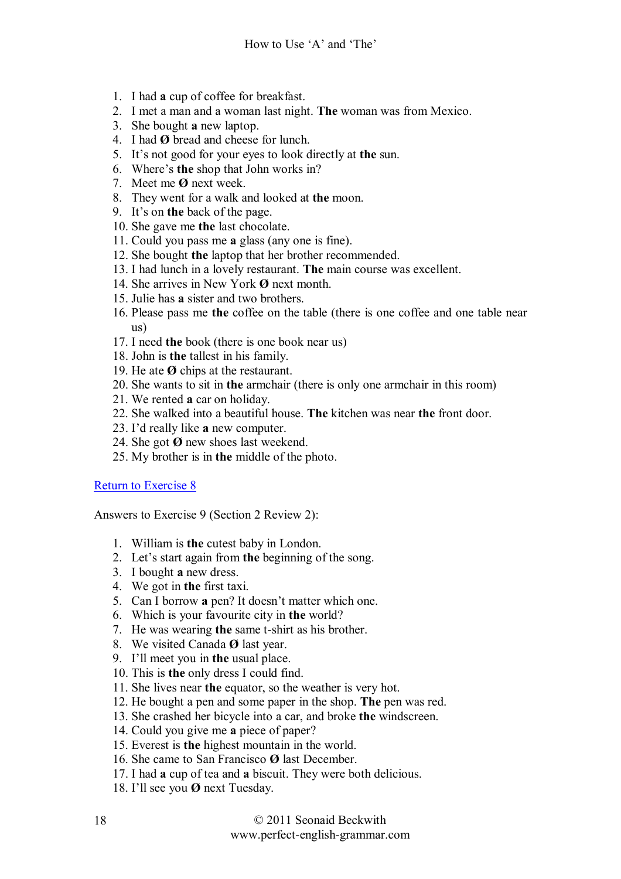- 1. I had **a** cup of coffee for breakfast.
- 2. I met a man and a woman last night. **The** woman was from Mexico.
- 3. She bought **a** new laptop.
- 4. I had **ÿ** bread and cheese for lunch.
- 5. Itís not good for your eyes to look directly at **the** sun.
- 6. Where's **the** shop that John works in?
- 7. Meet me **ÿ** next week.
- 8. They went for a walk and looked at **the** moon.
- 9. Itís on **the** back of the page.
- 10. She gave me **the** last chocolate.
- 11. Could you pass me **a** glass (any one is fine).
- 12. She bought **the** laptop that her brother recommended.
- 13. I had lunch in a lovely restaurant. **The** main course was excellent.
- 14. She arrives in New York Ø next month.
- 15. Julie has **a** sister and two brothers.
- 16. Please pass me **the** coffee on the table (there is one coffee and one table near us)
- 17. I need **the** book (there is one book near us)
- 18. John is **the** tallest in his family.
- 19. He ate **ÿ** chips at the restaurant.
- 20. She wants to sit in **the** armchair (there is only one armchair in this room)
- 21. We rented **a** car on holiday.
- 22. She walked into a beautiful house. **The** kitchen was near **the** front door.
- 23. Iíd really like **a** new computer.
- 24. She got **Ø** new shoes last weekend.
- 25. My brother is in **the** middle of the photo.

Answers to Exercise 9 (Section 2 Review 2):

- 1. William is **the** cutest baby in London.
- 2. Let's start again from **the** beginning of the song.
- 3. I bought **a** new dress.
- 4. We got in **the** first taxi.
- 5. Can I borrow **a** pen? It doesn't matter which one.
- 6. Which is your favourite city in **the** world?
- 7. He was wearing **the** same t-shirt as his brother.
- 8. We visited Canada **Ø** last year.
- 9. Iíll meet you in **the** usual place.
- 10. This is **the** only dress I could find.
- 11. She lives near **the** equator, so the weather is very hot.
- 12. He bought a pen and some paper in the shop. **The** pen was red.
- 13. She crashed her bicycle into a car, and broke **the** windscreen.
- 14. Could you give me **a** piece of paper?
- 15. Everest is **the** highest mountain in the world.
- 16. She came to San Francisco  $\boldsymbol{\varnothing}$  last December.
- 17. I had **a** cup of tea and **a** biscuit. They were both delicious.
- 18. I'll see you Ø next Tuesday.